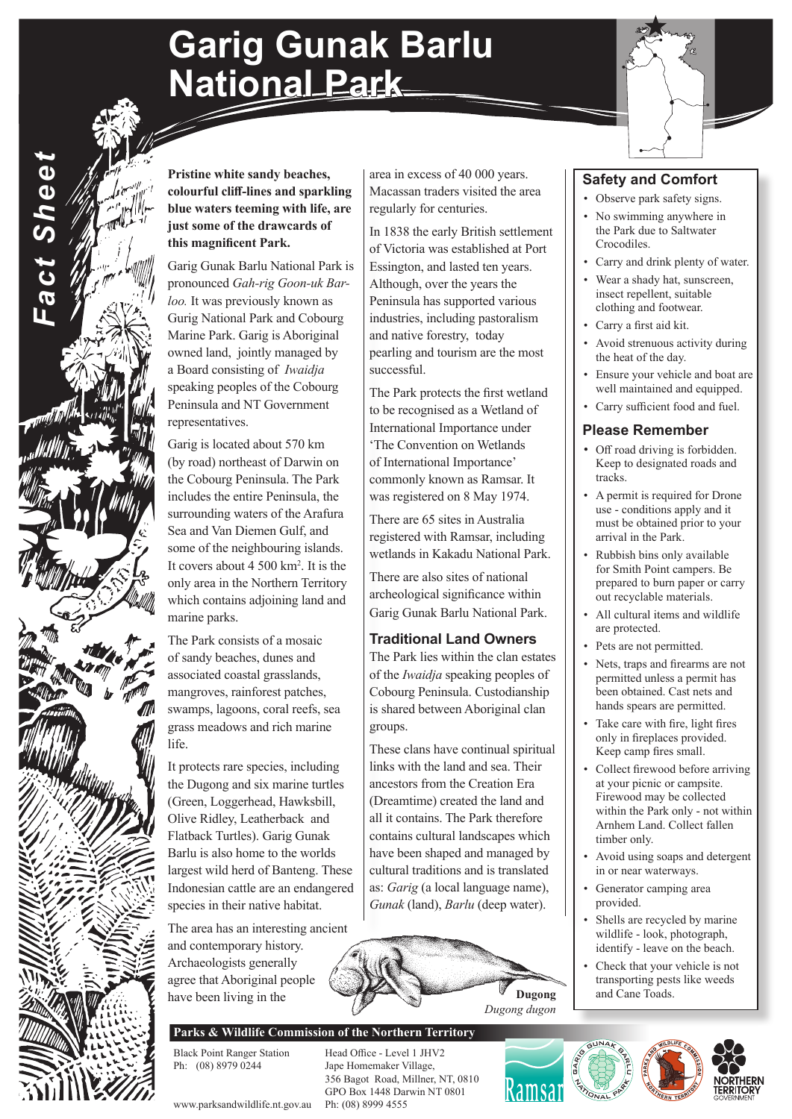# **Garig Gunak Barlu National Park**



**Pristine white sandy beaches, colourful cliff-lines and sparkling blue waters teeming with life, are just some of the drawcards of this magnificent Park.**

*Fact Sheet*

**Fact Sheet** 

Garig Gunak Barlu National Park is pronounced *Gah-rig Goon-uk Barloo.* It was previously known as Gurig National Park and Cobourg Marine Park. Garig is Aboriginal owned land, jointly managed by a Board consisting of *Iwaidja*  speaking peoples of the Cobourg Peninsula and NT Government representatives.

Garig is located about 570 km (by road) northeast of Darwin on the Cobourg Peninsula. The Park includes the entire Peninsula, the surrounding waters of the Arafura Sea and Van Diemen Gulf, and some of the neighbouring islands. It covers about 4 500 km2 . It is the only area in the Northern Territory which contains adjoining land and marine parks.

The Park consists of a mosaic of sandy beaches, dunes and associated coastal grasslands, mangroves, rainforest patches, swamps, lagoons, coral reefs, sea grass meadows and rich marine life.

It protects rare species, including the Dugong and six marine turtles (Green, Loggerhead, Hawksbill, Olive Ridley, Leatherback and Flatback Turtles). Garig Gunak Barlu is also home to the worlds largest wild herd of Banteng. These Indonesian cattle are an endangered species in their native habitat.

The area has an interesting ancient and contemporary history. Archaeologists generally agree that Aboriginal people have been living in the

area in excess of 40 000 years. Macassan traders visited the area regularly for centuries.

In 1838 the early British settlement of Victoria was established at Port Essington, and lasted ten years. Although, over the years the Peninsula has supported various industries, including pastoralism and native forestry, today pearling and tourism are the most successful.

The Park protects the first wetland to be recognised as a Wetland of International Importance under 'The Convention on Wetlands of International Importance' commonly known as Ramsar. It was registered on 8 May 1974.

There are 65 sites in Australia registered with Ramsar, including wetlands in Kakadu National Park.

There are also sites of national archeological significance within Garig Gunak Barlu National Park.

#### **Traditional Land Owners**

The Park lies within the clan estates of the *Iwaidja* speaking peoples of Cobourg Peninsula. Custodianship is shared between Aboriginal clan groups.

These clans have continual spiritual links with the land and sea. Their ancestors from the Creation Era (Dreamtime) created the land and all it contains. The Park therefore contains cultural landscapes which have been shaped and managed by cultural traditions and is translated as: *Garig* (a local language name), *Gunak* (land), *Barlu* (deep water).



#### **Parks & Wildlife Commission of the Northern Territory**

Black Point Ranger Station Head Office - Level 1 JHV2<br>
Ph: (08) 8979 0244 Jape Homemaker Village, Jape Homemaker Village, 356 Bagot Road, Millner, NT, 0810 GPO Box 1448 Darwin NT 0801

#### **Safety and Comfort**

- Observe park safety signs.
- No swimming anywhere in the Park due to Saltwater Crocodiles.
- Carry and drink plenty of water.
- Wear a shady hat, sunscreen, insect repellent, suitable clothing and footwear.
- Carry a first aid kit.
- Avoid strenuous activity during the heat of the day.
- Ensure your vehicle and boat are well maintained and equipped.
- Carry sufficient food and fuel.

#### **Please Remember**

- Off road driving is forbidden. Keep to designated roads and tracks.
- A permit is required for Drone use - conditions apply and it must be obtained prior to your arrival in the Park.
- Rubbish bins only available for Smith Point campers. Be prepared to burn paper or carry out recyclable materials.
- All cultural items and wildlife are protected.
- Pets are not permitted.
- Nets, traps and firearms are not permitted unless a permit has been obtained. Cast nets and hands spears are permitted.
- Take care with fire, light fires only in fireplaces provided. Keep camp fires small.
- Collect firewood before arriving at your picnic or campsite. Firewood may be collected within the Park only - not within Arnhem Land. Collect fallen timber only.
- Avoid using soaps and detergent in or near waterways.
- Generator camping area provided.
- Shells are recycled by marine wildlife - look, photograph, identify - leave on the beach.
- Check that your vehicle is not transporting pests like weeds **Dugong** and Cane Toads.



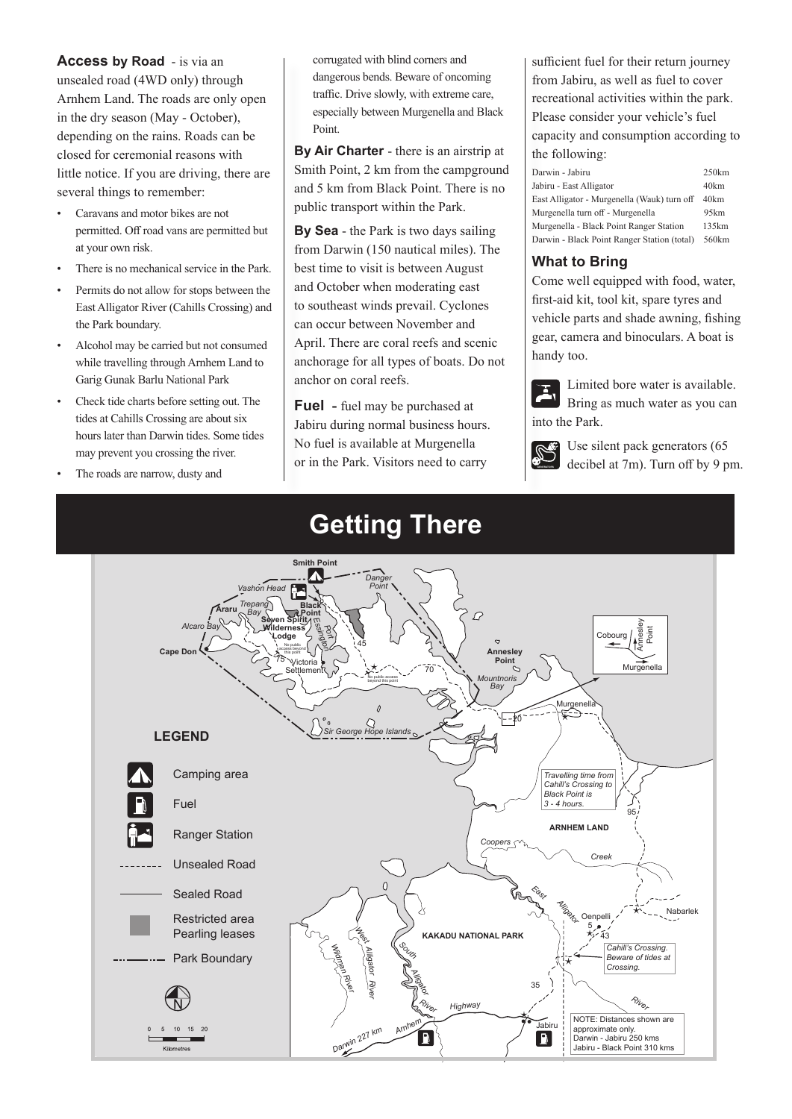**Access by Road** - is via an unsealed road (4WD only) through Arnhem Land. The roads are only open in the dry season (May - October), depending on the rains. Roads can be closed for ceremonial reasons with little notice. If you are driving, there are several things to remember:

- Caravans and motor bikes are not permitted. Off road vans are permitted but at your own risk.
- There is no mechanical service in the Park.
- Permits do not allow for stops between the East Alligator River (Cahills Crossing) and the Park boundary.
- Alcohol may be carried but not consumed while travelling through Arnhem Land to Garig Gunak Barlu National Park
- Check tide charts before setting out. The tides at Cahills Crossing are about six hours later than Darwin tides. Some tides may prevent you crossing the river.
- The roads are narrow, dusty and

corrugated with blind corners and dangerous bends. Beware of oncoming traffic. Drive slowly, with extreme care, especially between Murgenella and Black Point.

**By Air Charter** - there is an airstrip at Smith Point, 2 km from the campground and 5 km from Black Point. There is no public transport within the Park.

**By Sea** - the Park is two days sailing from Darwin (150 nautical miles). The best time to visit is between August and October when moderating east to southeast winds prevail. Cyclones can occur between November and April. There are coral reefs and scenic anchorage for all types of boats. Do not anchor on coral reefs.

**Fuel -** fuel may be purchased at Jabiru during normal business hours. No fuel is available at Murgenella or in the Park. Visitors need to carry

sufficient fuel for their return journey from Jabiru, as well as fuel to cover recreational activities within the park. Please consider your vehicle's fuel capacity and consumption according to the following:

| Darwin - Jabiru                             | 250km |
|---------------------------------------------|-------|
| Jabiru - East Alligator                     | 40km  |
| East Alligator - Murgenella (Wauk) turn off | 40km  |
| Murgenella turn off - Murgenella            | 95km  |
| Murgenella - Black Point Ranger Station     | 135km |
| Darwin - Black Point Ranger Station (total) | 560km |

#### **What to Bring**

Come well equipped with food, water, first-aid kit, tool kit, spare tyres and vehicle parts and shade awning, fishing gear, camera and binoculars. A boat is handy too.



Limited bore water is available. Bring as much water as you can into the Park.



 $\mathbb{S}^6$  Use silent pack generators (65 decibel at 7m). Turn off by 9 pm.



### **Getting There**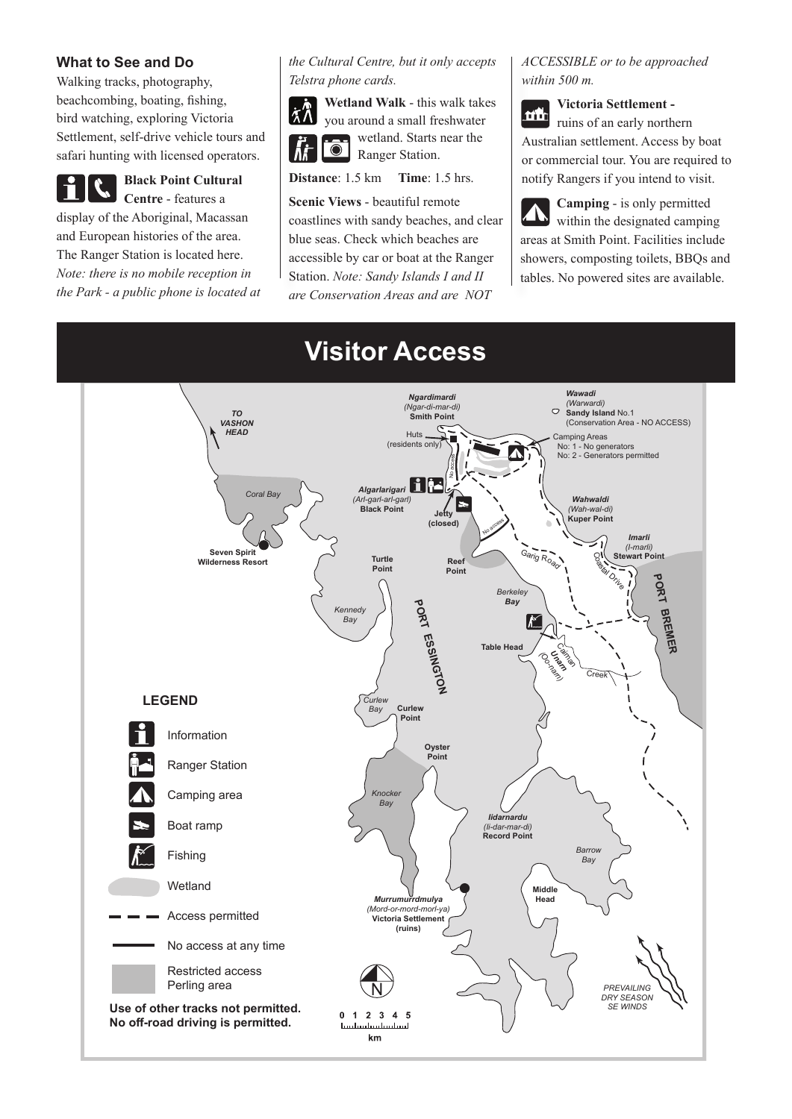#### **What to See and Do**

Walking tracks, photography, beachcombing, boating, fishing, bird watching, exploring Victoria Settlement, self-drive vehicle tours and safari hunting with licensed operators.

**Black Point Cultural Centre** - features a display of the Aboriginal, Macassan and European histories of the area. The Ranger Station is located here. *Note: there is no mobile reception in the Park - a public phone is located at* 

#### *the Cultural Centre, but it only accepts Telstra phone cards.*



**Wetland Walk** - this walk takes you around a small freshwater wetland. Starts near the  $\bullet$ Ranger Station.

#### **Distance**: 1.5 km **Time**: 1.5 hrs.

**Scenic Views** - beautiful remote coastlines with sandy beaches, and clear blue seas. Check which beaches are accessible by car or boat at the Ranger Station. *Note: Sandy Islands I and II are Conservation Areas and are NOT* 

#### *ACCESSIBLE or to be approached within 500 m.*

**Victoria Settlement**  mh ruins of an early northern Australian settlement. Access by boat or commercial tour. You are required to notify Rangers if you intend to visit.

**Camping** - is only permitted within the designated camping areas at Smith Point. Facilities include showers, composting toilets, BBQs and tables. No powered sites are available.

### **Visitor Access**